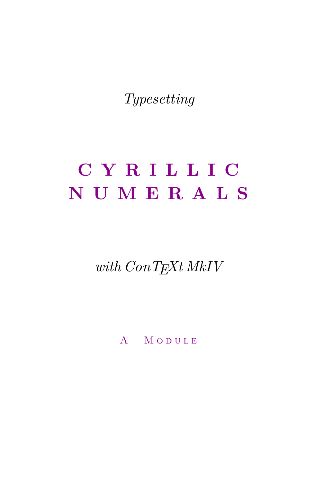Typesetting

# CYRILLIC NUMERALS

with  $ConT_{E}xt$  MkIV

A MODULE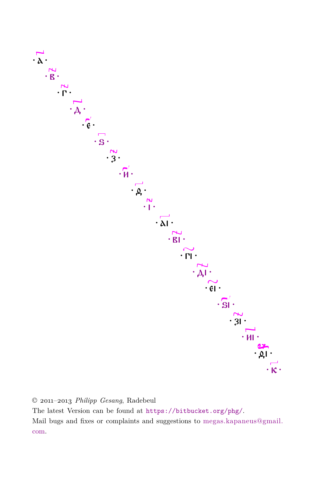

© 2011-2013 Philipp Gesang, Radebeul The latest Version can be found at https://bitbucket.org/phg/. Mail bugs and fixes or complaints and suggestions to megas.kapaneus@gmail. com.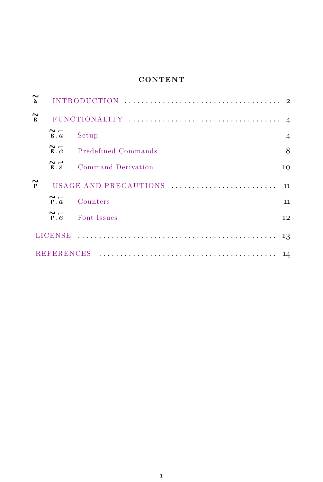### **CONTENT**

| $\sim$<br>$\lambda$    |                                    |                       |                |
|------------------------|------------------------------------|-----------------------|----------------|
| $\widetilde{B}$        |                                    |                       | $\overline{4}$ |
|                        | $\sim$ $-$<br>$\mathbf{B} \cdot a$ | Setup                 | $\overline{4}$ |
|                        | $\sim$ $-$<br>R.6                  | Predefined Commands   | 8              |
|                        | $\sim$ $-$<br>R.2                  | Command Derivation    | 10             |
| $\sim$<br>$\mathbf{r}$ |                                    | USAGE AND PRECAUTIONS | 11             |
|                        | $\sim$ $-$<br>$\Gamma$ . $a$       | Counters              | $11\,$         |
|                        | $\sim$ $-$<br>$\Gamma$ . $\beta$   | Font Issues           | 12             |
|                        | LICENSE                            |                       | 13             |
|                        |                                    |                       |                |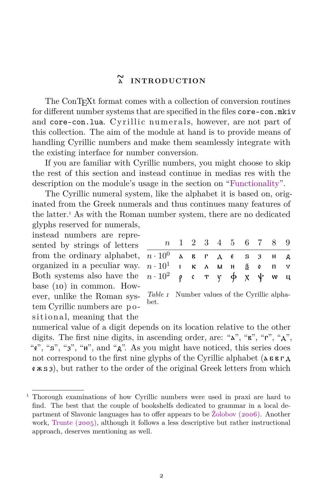### а **INTRODUCTION**

<span id="page-3-1"></span><span id="page-3-0"></span>The ConT<sub>E</sub>X<sup>t</sup> format comes with a collection of conversion routines for different number systems that are specified in the files core-con.mkiv and core-con.lua. Cyrillic numerals, however, are not part of this collection. The aim of the module at hand is to provide means of handling Cyrillic numbers and make them seamlessly integrate with the existing interface for number conversion.

If you are familiar with Cyrillic numbers, you might choose to skip the rest of this section and instead continue in medias res with the description on the module's usage in the section on ["Functionality"](#page-5-0).

The Cyrillic numeral system, like the alphabet it is based on, originated from the Greek numerals and thus continues many features of the latter.<sup>1</sup> As with the Roman number system, there are no dedicated glyphs reserved for numerals,

instead numbers are represented by strings of letters from the ordinary alphabet,  $\eta$ organized in a peculiar way. Both systems also have the base (10) in common. However, unlike the Roman system Cyrillic numbers are p o sitional, meaning that the

|                                     |  |  | n 1 2 3 4 5 6 7 8 9 |  |  |
|-------------------------------------|--|--|---------------------|--|--|
| $n \cdot 10^0$ двгде s зид          |  |  |                     |  |  |
| $n \cdot 10^1$ іклмн <u>а</u> ́оп ү |  |  |                     |  |  |
| $n \cdot 10^2$ рстуф х $\psi$ wц    |  |  |                     |  |  |

*Table 1* Number values of the Cyrillic alphabet.

numerical value of a digit depends on its location relative to the other digits. The first nine digits, in ascending order, are: "а", "в", "г", "д", "е", "ѕ", "з", "и", and "ѳ". As you might have noticed, this series does not correspond to the first nine glyphs of the Cyrillic alphabet ( $\Delta$  б в г $\Delta$ )  $(x, s, s)$ , but rather to the order of the original Greek letters from which

<sup>1</sup> Thorough examinations of how Cyrillic numbers were used in praxi are hard to find. The best that the couple of bookshelfs dedicated to grammar in a local department of Slavonic languages has to offer appears to be [Žolobov \(2006\)](#page-15-1). Another work, [Trunte \(2005\),](#page-15-2) although it follows a less descriptive but rather instructional approach, deserves mentioning as well.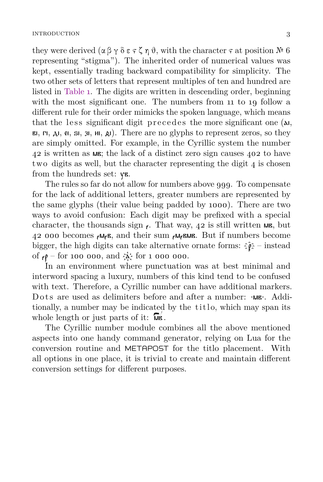they were derived  $(\alpha \beta \gamma \delta \varepsilon \gamma \zeta \eta \vartheta)$ , with the character  $\gamma$  at position  $\mathbb{N}^{\mathfrak{g}}$  6 representing "stigma"). The inherited order of numerical values was kept, essentially trading backward compatibility for simplicity. The two other sets of letters that represent multiples of ten and hundred are listed in [Table](#page-3-1) 1. The digits are written in descending order, beginning with the most significant one. The numbers from 11 to 19 follow a different rule for their order mimicks the spoken language, which means that the less significant digit precedes the more significant one  $(\lambda I)$ , ві, гі, ді,  $\theta$ ,  $\theta$ ,  $\theta$ ,  $\theta$ ,  $\theta$ ,  $\theta$ ). There are no glyphs to represent zeros, so they are simply omitted. For example, in the Cyrillic system the number 42 is written as мв; the lack of a distinct zero sign causes 402 to have two digits as well, but the character representing the digit 4 is chosen from the hundreds set: ув.

The rules so far do not allow for numbers above 999. To compensate for the lack of additional letters, greater numbers are represented by the same glyphs (their value being padded by 1000). There are two ways to avoid confusion: Each digit may be prefixed with a special character, the thousands sign  $\epsilon$ . That way, 42 is still written MR, but 42 000 becomes  $\epsilon M_{\epsilon}B$ , and their sum  $\epsilon M_{\epsilon}B M_{\epsilon}$  But if numbers become bigger, the high digits can take alternative ornate forms:  $\hat{\mathfrak z} \hat{\mathfrak p}$  – instead of  $_{\ell}$  – for 100 000, and  $\lambda$  for 1 000 000.

In an environment where punctuation was at best minimal and interword spacing a luxury, numbers of this kind tend to be confused with text. Therefore, a Cyrillic number can have additional markers. Dots are used as delimiters before and after a number: ·мв·. Additionally, a number may be indicated by the titlo, which may span its whole length or just parts of it:  $\overline{\mathsf{M}}\mathsf{B}$ .

The Cyrillic number module combines all the above mentioned aspects into one handy command generator, relying on Lua for the conversion routine and METAPOST for the titlo placement. With all options in one place, it is trivial to create and maintain different conversion settings for different purposes.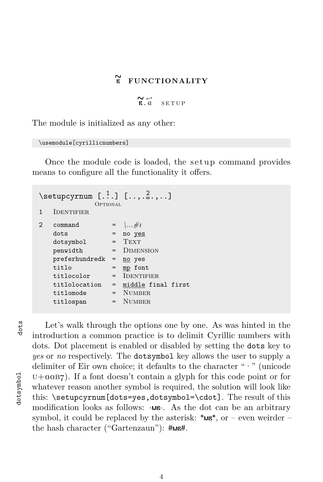### в **FUNCTIONALITY**

 $R \ddot{a}$  setup

<span id="page-5-1"></span><span id="page-5-0"></span>The module is initialized as any other:

\usemodule[cyrillicnumbers]

Once the module code is loaded, the setup command provides means to configure all the functionality it offers.

| <b>IDENTIFIER</b> |                                                                                                                                                                 |
|-------------------|-----------------------------------------------------------------------------------------------------------------------------------------------------------------|
| command           | $=$ \#1                                                                                                                                                         |
| dots              | no yes                                                                                                                                                          |
| dotsymbol         | <b>TEXT</b>                                                                                                                                                     |
| penwidth          | = DIMENSION                                                                                                                                                     |
| preferhundredk    | no yes                                                                                                                                                          |
| $\text{til}$      | mp font                                                                                                                                                         |
| titlocolor        | <b>IDENTIFIER</b>                                                                                                                                               |
| titlolocation     | middle final first                                                                                                                                              |
| titlomode         | $=$ NUMBER                                                                                                                                                      |
| titlospan         | NUMBER.                                                                                                                                                         |
|                   | $\setminus$ setupcyrnum [ $\cdot$ <sup>1</sup> ] [ $\cdot$ , $\cdot$ <sup>2</sup> ., ]<br>OPTIONAL<br>$=$<br>$=$ $-$<br>$=$<br>$=$<br>$=$ $-$<br>$=$<br>$=$ $-$ |

dots

Let's walk through the options one by one. As was hinted in the introduction a common practice is to delimit Cyrillic numbers with dots. Dot placement is enabled or disabled by setting the dots key to *yes* or *no* respectively. The dotsymbol key allows the user to supply a delimiter of Eir own choice; it defaults to the character " $\cdot$  " (unicode  $U + 00B7$ ). If a font doesn't contain a glyph for this code point or for whatever reason another symbol is required, the solution will look like this: \setupcyrnum[dots=yes,dotsymbol=\cdot]. The result of this modification looks as follows:  $\cdot$ мв⋅. As the dot can be an arbitrary symbol, it could be replaced by the asterisk:  $*_{MB}$ , or – even weirder – the hash character ("Gartenzaun"): #мв#.

dotsymbol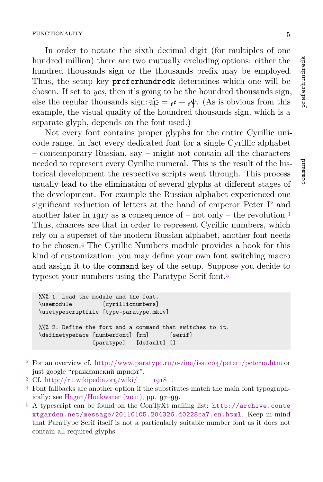In order to notate the sixth decimal digit (for multiples of one hundred million) there are two mutually excluding options: either the hundred thousands sign or the thousands prefix may be employed. Thus, the setup key preferhundredk determines which one will be chosen. If set to *yes*, then it's going to be the houndred thousands sign, else the regular thousands sign:  $\hat{\mu} \hat{\mu} = \kappa + \mu$ . (As is obvious from this example, the visual quality of the houndred thousands sign, which is a separate glyph, depends on the font used.)

Not every font contains proper glyphs for the entire Cyrillic unicode range, in fact every dedicated font for a single Cyrillic alphabet – contemporary Russian, say – might not contain all the characters needed to represent every Cyrillic numeral. This is the result of the historical development the respective scripts went through. This process usually lead to the elimination of several glyphs at different stages of the development. For example the Russian alphabet experienced one significant reduction of letters at the hand of emperor Peter  $I<sup>2</sup>$  and another later in 1917 as a consequence of – not only – the revolution. 3 Thus, chances are that in order to represent Cyrillic numbers, which rely on a superset of the modern Russian alphabet, another font needs to be chosen.<sup>4</sup> The Cyrillic Numbers module provides a hook for this kind of customization: you may define your own font switching macro and assign it to the command key of the setup. Suppose you decide to typeset your numbers using the Paratype Serif font.<sup>5</sup>

```
%%% 1. Load the module and the font.
\usemodule [cyrillicnumbers]
\usetypescriptfile [type-paratype.mkiv]
%%% 2. Define the font and a command that switches to it.
\definetypeface [numberfont] [rm] [serif]
               [paratype] [default] []
```
preferhundredk

preferhundredk

command

<sup>&</sup>lt;sup>2</sup> For an overview cf. http://www.paratype.ru/e-zine/issue04/peter1/peterna.htm or just google "гражданский шрифт".

 $3$  Cf. http://ru.wikipedia.org/wiki/ $\qquad$  1918.

<sup>4</sup> Font fallbacks are another option if the substitutes match the main font typographically; see [Hagen/Hoekwater \(2011\),](#page-15-3) pp. 97–99.

<sup>5</sup> A typescript can be found on the ConTEXt mailing list: [http://archive.conte](http://archive.contextgarden.net/message/20110105.204326.d0228ca7.en.html) [xtgarden.net/message/20110105.204326.d0228ca7.en.html](http://archive.contextgarden.net/message/20110105.204326.d0228ca7.en.html). Keep in mind that ParaType Serif itself is not a particularly suitable number font as it does not contain all required glyphs.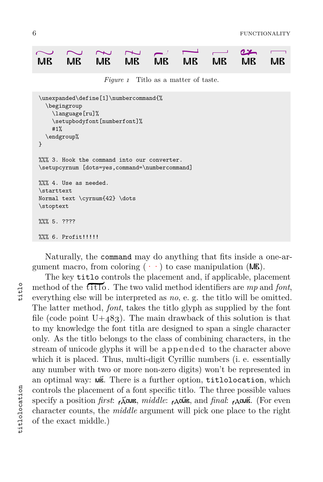<span id="page-7-0"></span>

|  |  | $\sim \sim \sim \sim \sim \sim -1.$ |  |  |
|--|--|-------------------------------------|--|--|
|  |  | MB MB MB MB MB MB MB MB MB          |  |  |

*Figure 1* Titlo as a matter of taste.

```
\unexpanded\define[1]\numbercommand{%
  \begingroup
    \language[ru]%
    \setupbodyfont[numberfont]%
    #1%
  \endgroup%
}
%%% 3. Hook the command into our converter.
\setupcyrnum [dots=yes,command=\numbercommand]
%%% 4. Use as needed.
\starttext
Normal text \cyrnum{42} \dots
\stoptext
%%% 5. ????
%%% 6. Profit!!!!!!
```
Naturally, the command may do anything that fits inside a one-argument macro, from coloring  $(\cdot \cdot)$  to case manipulation (MB).

The key titlo controls the placement and, if applicable, placement method of the  $\overline{\text{fit}}$ . The two valid method identifiers are mp and *font*, everything else will be interpreted as *no*, e. g. the titlo will be omitted. The latter method, *font*, takes the titlo glyph as supplied by the font file (code point  $U+483$ ). The main drawback of this solution is that to my knowledge the font titla are designed to span a single character only. As the titlo belongs to the class of combining characters, in the stream of unicode glyphs it will be appended to the character above which it is placed. Thus, multi-digit Cyrillic numbers (i. e. essentially any number with two or more non-zero digits) won't be represented in an optimal way: мв҃. There is a further option, titlolocation, which controls the placement of a font specific titlo. The three possible values specify a position *first*: ҂д҃смв, *middle*: ҂дсм҃в, and *final*: ҂дсмв҃. (For even character counts, the *middle* argument will pick one place to the right of the exact middle.)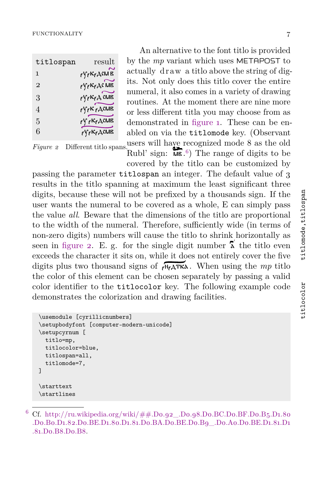| titlospan    | result                                            |
|--------------|---------------------------------------------------|
| 1            | <sub>ř</sub> у <sub>ř</sub> іс <sub>ř</sub> дсм в |
| $\mathbf{2}$ | ry krac MB                                        |
| 3            | $\partial f \partial f \in K$ $\partial f$ CMB    |
| 4            | $\gamma_{\epsilon}$ K $\gamma_{\epsilon}$ ACMB    |
| 5            | ҂Ѵ҂Ҝ҂ДѠВ                                          |
| 6            | <sub>҂</sub> Ѵ҂Ҝ҂ДСМВ                             |

*Figure 2* Different titlo spans. users will have recognized mode 8 as the old An alternative to the font titlo is provided by the *mp* variant which uses METAPOST to actually draw a titlo above the string of digits. Not only does this titlo cover the entire numeral, it also comes in a variety of drawing routines. At the moment there are nine more or less different titla you may choose from as demonstrated in [figure](#page-7-0) 1. These can be enabled on via the titlomode key. (Observant

Rubl' sign:  $\overline{\mathsf{M}}\mathsf{B}$ .<sup>6</sup>) The range of digits to be covered by the titlo can be customized by

passing the parameter titlospan an integer. The default value of 3 results in the titlo spanning at maximum the least significant three digits, because these will not be prefixed by a thousands sign. If the user wants the numeral to be covered as a whole, E can simply pass the value *all*. Beware that the dimensions of the titlo are proportional to the width of the numeral. Therefore, sufficiently wide (in terms of non-zero digits) numbers will cause the titlo to shrink horizontally as seen in figure 2. E. g. for the single digit number  $\lambda$  the titlo even exceeds the character it sits on, while it does not entirely cover the five digits plus two thousand signs of  $\sqrt{n_{\rm s}}$  $\Delta$  When using the *mp* titlo the color of this element can be chosen separately by passing a valid color identifier to the titlocolor key. The following example code demonstrates the colorization and drawing facilities.

```
\usemodule [cyrillicnumbers]
\setupbodyfont [computer-modern-unicode]
\setupcyrnum [
  titlo=mp,
  titlocolor=blue,
  titlospan=all,
  titlomode=7,
]
\starttext
\startlines
```
Cf. http://ru.wikipedia.org/wiki/##.Do.92\_.Do.98.Do.BC.Do.BF.Do.B5.D1.80 [.D0.B0.D1.82.D0.BE.D1.80.D1.81.D0.BA.D0.BE.D0.B9\\_.D0.A0.D0.BE.D1.81.D1](http://ru.wikipedia.org/wiki/Рубль#.D0.92_.D0.98.D0.BC.D0.BF.D0.B5.D1.80.D0.B0.D1.82.D0.BE.D1.80.D1.81.D0.BA.D0.BE.D0.B9_.D0.A0.D0.BE.D1.81.D1.81.D0.B8.D0.B8) [.81.D0.B8.D0.B8.](http://ru.wikipedia.org/wiki/Рубль#.D0.92_.D0.98.D0.BC.D0.BF.D0.B5.D1.80.D0.B0.D1.82.D0.BE.D1.80.D1.81.D0.BA.D0.BE.D0.B9_.D0.A0.D0.BE.D1.81.D1.81.D0.B8.D0.B8)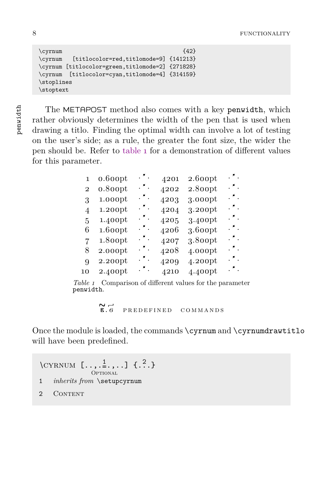```
\qquad \qquad \qquad \qquad {42}
\cyrnum [titlocolor=red,titlomode=9] {141213}
\cyrnum [titlocolor=green,titlomode=2] {271828}
\cyrnum [titlocolor=cyan,titlomode=4] {314159}
\stoplines
\stoptext
```
penwidth

The METAPOST method also comes with a key penwidth, which rather obviously determines the width of the pen that is used when drawing a titlo. Finding the optimal width can involve a lot of testing on the user's side; as a rule, the greater the font size, the wider the pen should be. Refer to table 1 for a demonstration of different values for this parameter.

| 1            | 0.600pt | .     | 4201 | 2.600pt | . * . |  |
|--------------|---------|-------|------|---------|-------|--|
| $\mathbf{2}$ | 0.800pt | . " . | 4202 | 2.800pt | .     |  |
| 3            | 1.000pt | .     | 4203 | 3.000pt | .     |  |
| 4            | 1.200pt | . " . | 4204 | 3.200pt | .     |  |
| 5            | 1.400pt | . * . | 4205 | 3.400pt | .     |  |
| 6            | 1.600pt | .     | 4206 | 3.600pt | .     |  |
| 7            | 1.800pt | . " . | 4207 | 3.800pt | .     |  |
| 8            | 2.000pt | . " . | 4208 | 4.000pt | .     |  |
| 9            | 2.200pt | . * . | 4209 | 4.200pt | .     |  |
| 10           | 2.400pt | . " . | 4210 | 4.400pt | .     |  |

*Table 1* Comparison of different values for the parameter penwidth.

 $R \rightarrow R$ <br>**B**.6 PREDEFINED COMMANDS

<span id="page-9-0"></span>Once the module is loaded, the commands \cyrnum and \cyrnumdrawtitlo will have been predefined.

 $\Ctext{YRNUM} [\dots, \frac{1}{n}, \dots]$  {...} **OPTIONAL** 1 *inherits from* \setupcyrnum 2 CONTENT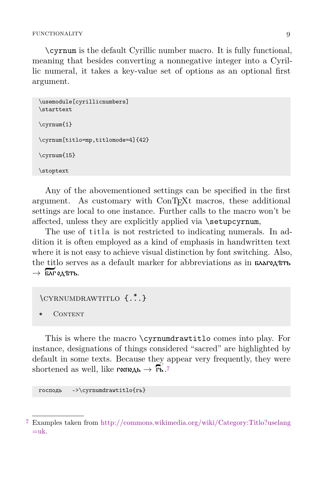\cyrnum is the default Cyrillic number macro. It is fully functional, meaning that besides converting a nonnegative integer into a Cyrillic numeral, it takes a key-value set of options as an optional first argument.

```
\usemodule[cyrillicnumbers]
\starttext
\cyrnum{1}
\cyrnum[titlo=mp,titlomode=4]{42}
\cyrnum{15}
\stoptext
```
Any of the abovementioned settings can be specified in the first argument. As customary with ConTEXt macros, these additional settings are local to one instance. Further calls to the macro won't be affected, unless they are explicitly applied via \setupcyrnum,

The use of titla is not restricted to indicating numerals. In addition it is often employed as a kind of emphasis in handwritten text where it is not easy to achieve visual distinction by font switching. Also, the titlo serves as a default marker for abbreviations as in **благод** $\text{tr}\mathbf{b}$  $\rightarrow$  БЛГ 0Д ВТЬ.

 $\C{YRNUMDRAWTTLO}$   $\{.\cdot\}$ 

CONTENT

This is where the macro \cyrnumdrawtitlo comes into play. For instance, designations of things considered "sacred" are highlighted by default in some texts. Because they appear very frequently, they were shortened as well, like  $\mathsf{rocn0}_{\mathsf{A}}$ ь  $\rightarrow$   $\mathsf{Fb}$ .<sup>7</sup>

господь ->\cyrnumdrawtitlo{гь}

<sup>7</sup> Examples taken from [http://commons.wikimedia.org/wiki/Category:Titlo?uselang](http://commons.wikimedia.org/wiki/Category:Titlo?uselang=uk)  $=$ uk.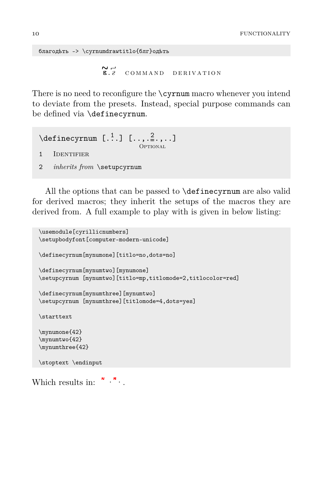<span id="page-11-0"></span>благодѣть -> \cyrnumdrawtitlo{блг}одѣть

```
R_{12} command derivation
```
There is no need to reconfigure the \cyrnum macro whenever you intend to deviate from the presets. Instead, special purpose commands can be defined via \definecyrnum.

 $\setminus$  definecyrnum  $[ .^1. ] [ . . , .^2. , . . ]$ OPTIONAL 1 **IDENTIFIER** 2 *inherits from* \setupcyrnum

All the options that can be passed to \definecyrnum are also valid for derived macros; they inherit the setups of the macros they are derived from. A full example to play with is given in below listing:

```
\usemodule[cyrillicnumbers]
\setupbodyfont[computer-modern-unicode]
\definecyrnum[mynumone][titlo=no,dots=no]
\definecyrnum[mynumtwo][mynumone]
\setupcyrnum [mynumtwo][titlo=mp,titlomode=2,titlocolor=red]
\definecyrnum[mynumthree][mynumtwo]
\setupcyrnum [mynumthree][titlomode=4,dots=yes]
\starttext
\mynumone{42}
\mynumtwo{42}
\mynumthree{42}
\stoptext \endinput
```
Which results in:  $\overset{\mathsf{N}}{\cdot} \cdot \overset{\mathsf{N}}{\cdot}$ .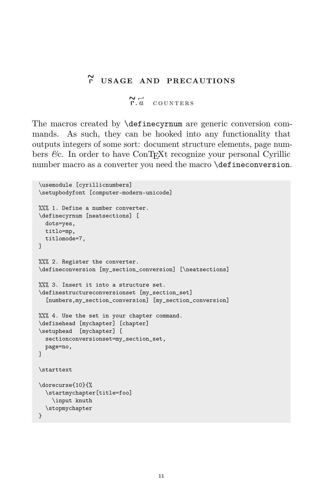## г **USAGE AND PRECAUTIONS**

### $R \mid a$  counters

<span id="page-12-1"></span><span id="page-12-0"></span>The macros created by \definecyrnum are generic conversion commands. As such, they can be hooked into any functionality that outputs integers of some sort: document structure elements, page numbers *&*c. In order to have ConTEXt recognize your personal Cyrillic number macro as a converter you need the macro **\defineconversion**.

```
\usemodule [cyrillicnumbers]
\setupbodyfont [computer-modern-unicode]
%%% 1. Define a number converter.
\definecyrnum [neatsections] [
 dots=yes,
 titlo=mp,
 titlomode=7,
]
%%% 2. Register the converter.
\defineconversion [my_section_conversion] [\neatsections]
%%% 3. Insert it into a structure set.
\definestructureconversionset [my_section_set]
  [numbers,my_section_conversion] [my_section_conversion]
%%% 4. Use the set in your chapter command.
\definehead [mychapter] [chapter]
\setuphead [mychapter] [
 sectionconversionset=my_section_set,
 page=no,
]
\starttext
\dorecurse{10}{%
  \startmychapter[title=foo]
    \input knuth
  \stopmychapter
}
```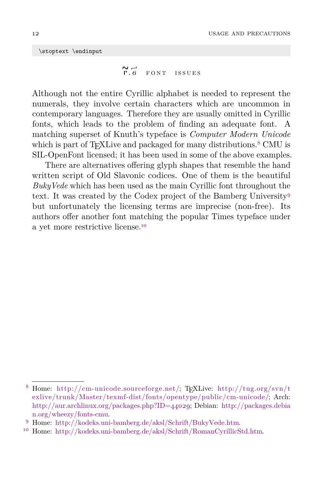<span id="page-13-0"></span>\stoptext \endinput

$$
\begin{array}{cc}\n\mathbf{N} & \mathbf{H} \\
\mathbf{F} \cdot \mathbf{G} & \mathbf{F} \mathbf{O} \mathbf{N} \mathbf{T} & \mathbf{ISSUES}\n\end{array}
$$

Although not the entire Cyrillic alphabet is needed to represent the numerals, they involve certain characters which are uncommon in contemporary languages. Therefore they are usually omitted in Cyrillic fonts, which leads to the problem of finding an adequate font. A matching superset of Knuth's typeface is *Computer Modern Unicode* which is part of T<sub>E</sub>XLive and packaged for many distributions.<sup>8</sup> CMU is SIL-OpenFont licensed; it has been used in some of the above examples.

There are alternatives offering glyph shapes that resemble the hand written script of Old Slavonic codices. One of them is the beautiful *BukyVede* which has been used as the main Cyrillic font throughout the text. It was created by the Codex project of the Bamberg University<sup>9</sup> but unfortunately the licensing terms are imprecise (non-free). Its authors offer another font matching the popular Times typeface under a yet more restrictive license.<sup>10</sup>

<sup>8</sup> Home: [http://cm-unicode.sourceforge.net/;](http://cm-unicode.sourceforge.net/) TEXLive: [http://tug.org/svn/t](http://tug.org/svn/texlive/trunk/Master/texmf-dist/fonts/opentype/public/cm-unicode/) [exlive/trunk/Master/texmf-dist/fonts/opentype/public/cm-unicode/](http://tug.org/svn/texlive/trunk/Master/texmf-dist/fonts/opentype/public/cm-unicode/); Arch: [http://aur.archlinux.org/packages.php?ID=44029;](http://aur.archlinux.org/packages.php?ID=44029) Debian: [http://packages.debia](http://packages.debian.org/wheezy/fonts-cmu) [n.org/wheezy/fonts-cmu.](http://packages.debian.org/wheezy/fonts-cmu)

<sup>9</sup> Home: <http://kodeks.uni-bamberg.de/aksl/Schrift/BukyVede.htm>.

<sup>10</sup> Home: <http://kodeks.uni-bamberg.de/aksl/Schrift/RomanCyrillicStd.htm>.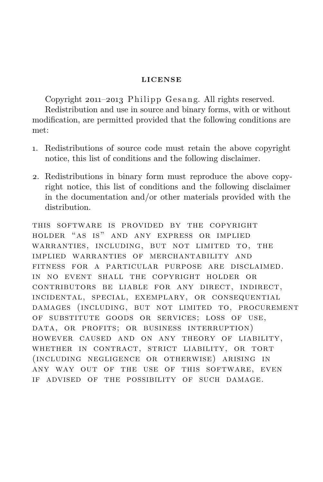#### **LICENSE**

<span id="page-14-0"></span>Copyright  $2011-2013$  Philipp Gesang. All rights reserved.

Redistribution and use in source and binary forms, with or without modification, are permitted provided that the following conditions are met:

- 1. Redistributions of source code must retain the above copyright notice, this list of conditions and the following disclaimer.
- 2. Redistributions in binary form must reproduce the above copyright notice, this list of conditions and the following disclaimer in the documentation and/or other materials provided with the distribution.

this software is provided by the copyright holder "as is" and any express or implied warranties, including, but not limited to, the implied warranties of merchantability and fitness for a particular purpose are disclaimed. in no event shall the copyright holder or contributors be liable for any direct, indirect, incidental, special, exemplary, or consequential damages (including, but not limited to, procurement of substitute goods or services; loss of use, data, or profits; or business interruption) however caused and on any theory of liability, WHETHER IN CONTRACT, STRICT LIABILITY, OR TORT (including negligence or otherwise) arising in any way out of the use of this software, even if advised of the possibility of such damage.